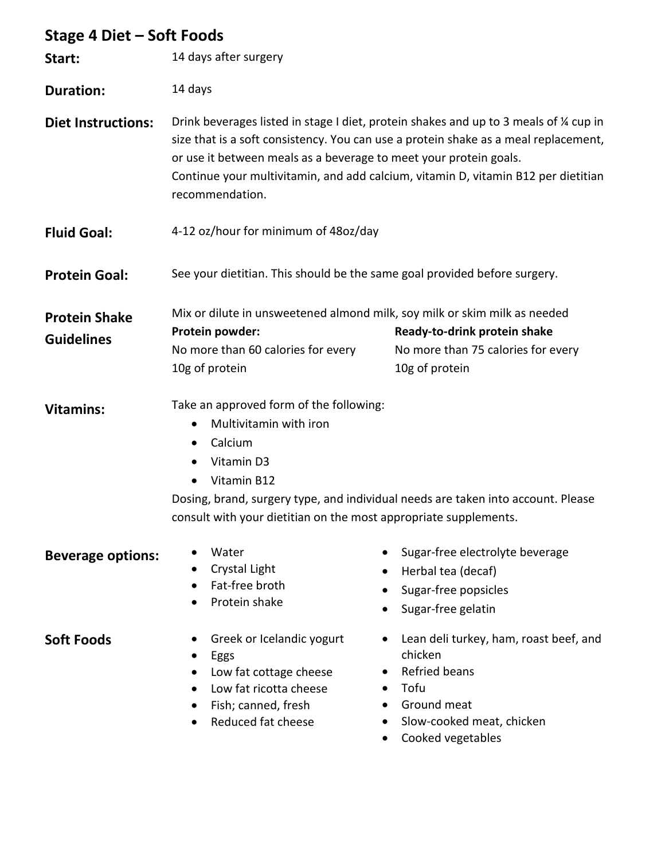| Stage 4 Diet - Soft Foods                 |                                                                                                                                                                                                                                                                                                                                                          |                                                                                                                                                                   |
|-------------------------------------------|----------------------------------------------------------------------------------------------------------------------------------------------------------------------------------------------------------------------------------------------------------------------------------------------------------------------------------------------------------|-------------------------------------------------------------------------------------------------------------------------------------------------------------------|
| Start:                                    | 14 days after surgery                                                                                                                                                                                                                                                                                                                                    |                                                                                                                                                                   |
| <b>Duration:</b>                          | 14 days                                                                                                                                                                                                                                                                                                                                                  |                                                                                                                                                                   |
| <b>Diet Instructions:</b>                 | Drink beverages listed in stage I diet, protein shakes and up to 3 meals of % cup in<br>size that is a soft consistency. You can use a protein shake as a meal replacement,<br>or use it between meals as a beverage to meet your protein goals.<br>Continue your multivitamin, and add calcium, vitamin D, vitamin B12 per dietitian<br>recommendation. |                                                                                                                                                                   |
| <b>Fluid Goal:</b>                        | 4-12 oz/hour for minimum of 48oz/day                                                                                                                                                                                                                                                                                                                     |                                                                                                                                                                   |
| <b>Protein Goal:</b>                      | See your dietitian. This should be the same goal provided before surgery.                                                                                                                                                                                                                                                                                |                                                                                                                                                                   |
| <b>Protein Shake</b><br><b>Guidelines</b> | Protein powder:<br>No more than 60 calories for every<br>10g of protein                                                                                                                                                                                                                                                                                  | Mix or dilute in unsweetened almond milk, soy milk or skim milk as needed<br>Ready-to-drink protein shake<br>No more than 75 calories for every<br>10g of protein |
| <b>Vitamins:</b>                          | Take an approved form of the following:<br>Multivitamin with iron<br>Calcium<br>$\bullet$<br>Vitamin D3<br>Vitamin B12<br>Dosing, brand, surgery type, and individual needs are taken into account. Please<br>consult with your dietitian on the most appropriate supplements.                                                                           |                                                                                                                                                                   |
| <b>Beverage options:</b>                  | Water<br>Crystal Light<br>Fat-free broth<br>Protein shake                                                                                                                                                                                                                                                                                                | Sugar-free electrolyte beverage<br>Herbal tea (decaf)<br>Sugar-free popsicles<br>Sugar-free gelatin                                                               |
| <b>Soft Foods</b>                         | Greek or Icelandic yogurt<br>Eggs<br>Low fat cottage cheese<br>Low fat ricotta cheese<br>Fish; canned, fresh<br>Reduced fat cheese                                                                                                                                                                                                                       | Lean deli turkey, ham, roast beef, and<br>chicken<br><b>Refried beans</b><br>Tofu<br>Ground meat<br>Slow-cooked meat, chicken                                     |

• Cooked vegetables